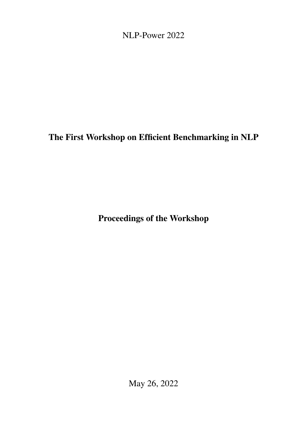<span id="page-0-0"></span>NLP-Power 2022

# The First Workshop on Efficient Benchmarking in NLP

Proceedings of the Workshop

May 26, 2022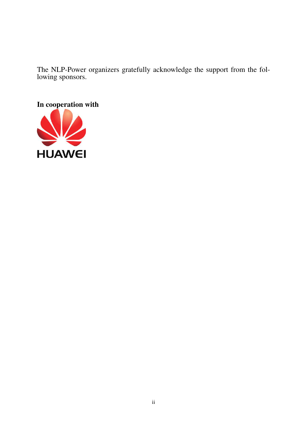The NLP-Power organizers gratefully acknowledge the support from the following sponsors.

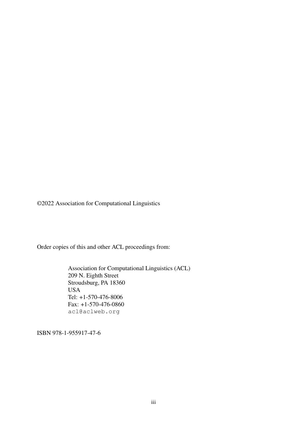©2022 Association for Computational Linguistics

Order copies of this and other ACL proceedings from:

Association for Computational Linguistics (ACL) 209 N. Eighth Street Stroudsburg, PA 18360 USA Tel: +1-570-476-8006 Fax: +1-570-476-0860 acl@aclweb.org

ISBN 978-1-955917-47-6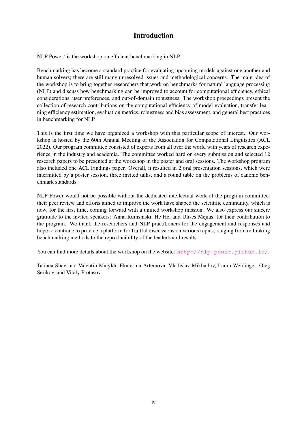## Introduction

NLP Power! is the workshop on efficient benchmarking in NLP.

Benchmarking has become a standard practice for evaluating upcoming models against one another and human solvers; there are still many unresolved issues and methodological concerns. The main idea of the workshop is to bring together researchers that work on benchmarks for natural language processing (NLP) and discuss how benchmarking can be improved to account for computational efficiency, ethical considerations, user preferences, and out-of-domain robustness. The workshop proceedings present the collection of research contributions on the computational efficiency of model evaluation, transfer learning efficiency estimation, evaluation metrics, robustness and bias assessment, and general best practices in benchmarking for NLP.

This is the first time we have organized a workshop with this particular scope of interest. Our workshop is hosted by the 60th Annual Meeting of the Association for Computational Linguistics (ACL 2022). Our program committee consisted of experts from all over the world with years of research experience in the industry and academia. The committee worked hard on every submission and selected 12 research papers to be presented at the workshop in the poster and oral sessions. The workshop program also included one ACL Findings paper. Overall, it resulted in 2 oral presentation sessions, which were intermitted by a poster session, three invited talks, and a round table on the problems of canonic benchmark standards.

NLP Power would not be possible without the dedicated intellectual work of the program committee: their peer review and efforts aimed to improve the work have shaped the scientific community, which is now, for the first time, coming forward with a unified workshop mission. We also express our sincere gratitude to the invited speakers: Anna Rumshiski, He He, and Ulises Mejias, for their contribution to the program. We thank the researchers and NLP practitioners for the engagement and responses and hope to continue to provide a platform for fruitful discussions on various topics, ranging from rethinking benchmarking methods to the reproducibility of the leaderboard results.

You can find more details about the workshop on the website: <http://nlp-power.github.io/>.

Tatiana Shavrina, Valentin Malykh, Ekaterina Artemova, Vladislav Mikhailov, Laura Weidinger, Oleg Serikov, and Vitaly Protasov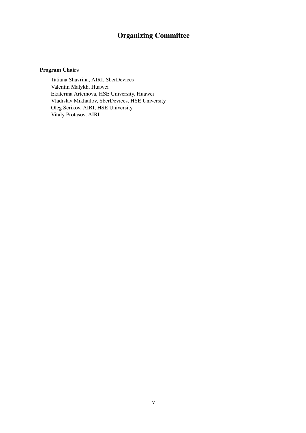## Organizing Committee

#### Program Chairs

Tatiana Shavrina, AIRI, SberDevices Valentin Malykh, Huawei Ekaterina Artemova, HSE University, Huawei Vladislav Mikhailov, SberDevices, HSE University Oleg Serikov, AIRI, HSE University Vitaly Protasov, AIRI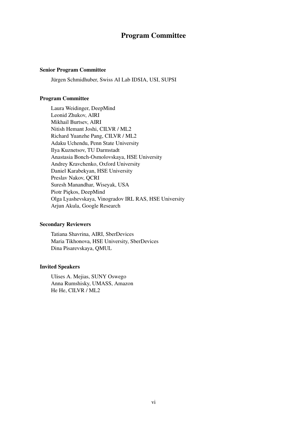### Program Committee

#### Senior Program Committee

Jürgen Schmidhuber, Swiss AI Lab IDSIA, USI, SUPSI

#### Program Committee

Laura Weidinger, DeepMind Leonid Zhukov, AIRI Mikhail Burtsev, AIRI Nitish Hemant Joshi, CILVR / ML2 Richard Yuanzhe Pang, CILVR / ML2 Adaku Uchendu, Penn State University Ilya Kuznetsov, TU Darmstadt Anastasia Bonch-Osmolovskaya, HSE University Andrey Kravchenko, Oxford University Daniel Karabekyan, HSE University Preslav Nakov, QCRI Suresh Manandhar, Wiseyak, USA Piotr Piekos, DeepMind Olga Lyashevskaya, Vinogradov IRL RAS, HSE University Arjun Akula, Google Research

#### Secondary Reviewers

Tatiana Shavrina, AIRI, SberDevices Maria Tikhonova, HSE University, SberDevices Dina Pisarevskaya, QMUL

#### Invited Speakers

Ulises A. Mejias, SUNY Oswego Anna Rumshisky, UMASS, Amazon He He, CILVR / ML2